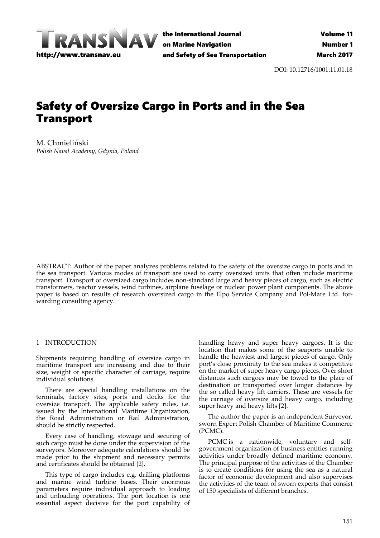

the International Journal on Marine Navigation and Safety of Sea Transportation

DOI: 10.12716/1001.11.01.18

# Safety of Oversize Cargo in Ports and in the Sea Transport

M. Chmieliński *Polish Naval Academy, Gdynia, Poland*

ABSTRACT: Author of the paper analyzes problems related to the safety of the oversize cargo in ports and in the sea transport. Various modes of transport are used to carry oversized units that often include maritime transport. Transport of oversized cargo includes non‐standard large and heavy pieces of cargo, such as electric transformers, reactor vessels, wind turbines, airplane fuselage or nuclear power plant components. The above paper is based on results of research oversized cargo in the Elpo Service Company and Pol‐Mare Ltd. for‐ warding consulting agency.

## 1 INTRODUCTION

Shipments requiring handling of oversize cargo in maritime transport are increasing and due to their size, weight or specific character of carriage, require individual solutions.

There are special handling installations on the terminals, factory sites, ports and docks for the oversize transport. The applicable safety rules, i.e. issued by the International Maritime Organization, the Road Administration or Rail Administration, should be strictly respected.

Every case of handling, stowage and securing of such cargo must be done under the supervision of the surveyors. Moreover adequate calculations should be made prior to the shipment and necessary permits and certificates should be obtained [2].

This type of cargo includes e.g. drilling platforms and marine wind turbine bases. Their enormous parameters require individual approach to loading and unloading operations. The port location is one essential aspect decisive for the port capability of

handling heavy and super heavy cargoes. It is the location that makes some of the seaports unable to handle the heaviest and largest pieces of cargo. Only port's close proximity to the sea makes it competitive on the market of super heavy cargo pieces. Over short distances such cargoes may be towed to the place of destination or transported over longer distances by the so called heavy lift carriers. These are vessels for the carriage of oversize and heavy cargo, including super heavy and heavy lifts [2].

The author the paper is an independent Surveyor, sworn Expert Polish Chamber of Maritime Commerce (PCMC).

PCMC is a nationwide, voluntary and selfgovernment organization of business entities running activities under broadly defined maritime economy. The principal purpose of the activities of the Chamber is to create conditions for using the sea as a natural factor of economic development and also supervises the activities of the team of sworn experts that consist of 150 specialists of different branches.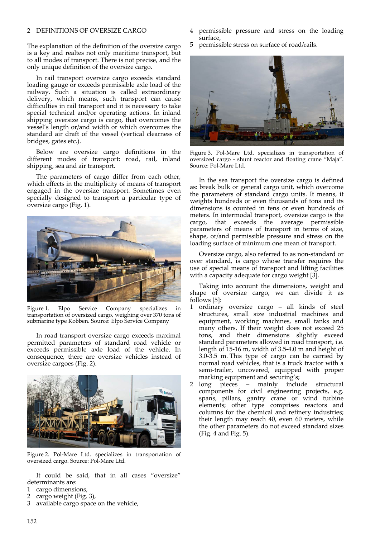## 2 DEFINITIONS OF OVERSIZE CARGO

The explanation of the definition of the oversize cargo is a key and realtes not only maritime transport, but to all modes of transport. There is not precise, and the only unique definition of the oversize cargo.

In rail transport oversize cargo exceeds standard loading gauge or exceeds permissible axle load of the railway. Such a situation is called extraordinary delivery, which means, such transport can cause difficulties in rail transport and it is necessary to take special technical and/or operating actions. In inland shipping oversize cargo is cargo, that overcomes the vessel's length or/and width or which overcomes the standard air draft of the vessel (vertical clearness of bridges, gates etc.).

Below are oversize cargo definitions in the different modes of transport: road, rail, inland shipping, sea and air transport.

The parameters of cargo differ from each other, which effects in the multiplicity of means of transport engaged in the oversize transport. Sometimes even specially designed to transport a particular type of oversize cargo (Fig. 1).



Figure 1. Elpo Service Company specializes in transportation of oversized cargo, weighing over 370 tons of submarine type Kobben. Source: Elpo Service Company

In road transport oversize cargo exceeds maximal permitted parameters of standard road vehicle or exceeds permissible axle load of the vehicle. In consequence, there are oversize vehicles instead of oversize cargoes (Fig. 2).



Figure 2. Pol‐Mare Ltd. specializes in transportation of oversized cargo. Source: Pol‐Mare Ltd.

It could be said, that in all cases "oversize" determinants are:

- 1 cargo dimensions,
- 2 cargo weight (Fig. 3),
- 3 available cargo space on the vehicle,
- 4 permissible pressure and stress on the loading surface,
- 5 permissible stress on surface of road/rails.



Figure 3. Pol‐Mare Ltd. specializes in transportation of oversized cargo - shunt reactor and floating crane "Maja". Source: Pol‐Mare Ltd.

In the sea transport the oversize cargo is defined as: break bulk or general cargo unit, which overcome the parameters of standard cargo units. It means, it weights hundreds or even thousands of tons and its dimensions is counted in tens or even hundreds of meters. In intermodal transport, oversize cargo is the cargo, that exceeds the average permissible parameters of means of transport in terms of size, shape, or/and permissible pressure and stress on the loading surface of minimum one mean of transport.

Oversize cargo, also referred to as non‐standard or over standard, is cargo whose transfer requires the use of special means of transport and lifting facilities with a capacity adequate for cargo weight [3].

Taking into account the dimensions, weight and shape of oversize cargo, we can divide it as follows [5]:

- 1 ordinary oversize cargo all kinds of steel structures, small size industrial machines and equipment, working machines, small tanks and many others. If their weight does not exceed 25 tons, and their dimensions slightly exceed standard parameters allowed in road transport, i.e. length of 15‐16 m, width of 3.5‐4.0 m and height of 3.0‐3.5 m. This type of cargo can be carried by normal road vehicles, that is a truck tractor with a semi-trailer, uncovered, equipped with proper marking equipment and securing's;
- 2 long pieces mainly include structural components for civil engineering projects, e.g. spans, pillars, gantry crane or wind turbine elements; other type comprises reactors and columns for the chemical and refinery industries; their length may reach 40, even 60 meters, while the other parameters do not exceed standard sizes (Fig. 4 and Fig. 5).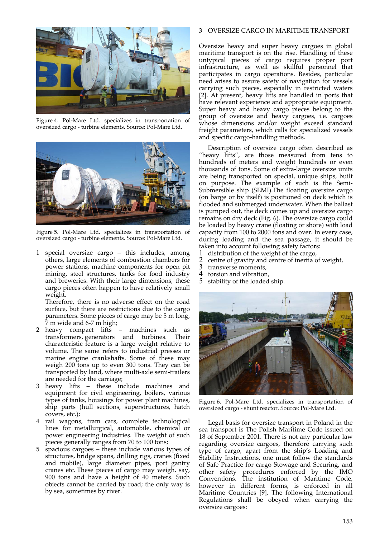

Figure 4. Pol‐Mare Ltd. specializes in transportation of oversized cargo ‐ turbine elements. Source: Pol‐Mare Ltd.



Figure 5. Pol‐Mare Ltd. specializes in transportation of oversized cargo ‐ turbine elements. Source: Pol‐Mare Ltd.

1 special oversize cargo – this includes, among others, large elements of combustion chambers for power stations, machine components for open pit mining, steel structures, tanks for food industry and breweries. With their large dimensions, these cargo pieces often happen to have relatively small weight.

Therefore, there is no adverse effect on the road surface, but there are restrictions due to the cargo parameters. Some pieces of cargo may be 5 m long, 7 m wide and 6‐7 m high;

- 2 heavy compact lifts machines such as transformers, generators and turbines. Their characteristic feature is a large weight relative to volume. The same refers to industrial presses or marine engine crankshafts. Some of these may weigh 200 tons up to even 300 tons. They can be transported by land, where multi‐axle semi‐trailers are needed for the carriage;
- 3 heavy lifts these include machines and equipment for civil engineering, boilers, various types of tanks, housings for power plant machines, ship parts (hull sections, superstructures, hatch covers, etc.);
- 4 rail wagons, tram cars, complete technological lines for metallurgical, automobile, chemical or power engineering industries. The weight of such pieces generally ranges from 70 to 100 tons;
- 5 spacious cargoes these include various types of structures, bridge spans, drilling rigs, cranes (fixed and mobile), large diameter pipes, port gantry cranes etc. These pieces of cargo may weigh, say, 900 tons and have a height of 40 meters. Such objects cannot be carried by road; the only way is by sea, sometimes by river.

## 3 OVERSIZE CARGO IN MARITIME TRANSPORT

Oversize heavy and super heavy cargoes in global maritime transport is on the rise. Handling of these untypical pieces of cargo requires proper port infrastructure, as well as skillful personnel that participates in cargo operations. Besides, particular need arises to assure safety of navigation for vessels carrying such pieces, especially in restricted waters [2]. At present, heavy lifts are handled in ports that have relevant experience and appropriate equipment. Super heavy and heavy cargo pieces belong to the group of oversize and heavy cargoes, i.e. cargoes whose dimensions and/or weight exceed standard freight parameters, which calls for specialized vessels and specific cargo‐handling methods.

Description of oversize cargo often described as "heavy lifts", are those measured from tens to hundreds of meters and weight hundreds or even thousands of tons. Some of extra‐large oversize units are being transported on special, unique ships, built on purpose. The example of such is the Semi‐ Submersible ship (SEMI).The floating oversize cargo (on barge or by itself) is positioned on deck which is flooded and submerged underwater. When the ballast is pumped out, the deck comes up and oversize cargo remains on dry deck (Fig. 6). The oversize cargo could be loaded by heavy crane (floating or shore) with load capacity from 100 to 2000 tons and over. In every case, during loading and the sea passage, it should be taken into account following safety factors:

- 1 distribution of the weight of the cargo,
- 2 centre of gravity and centre of inertia of weight,<br>3 transverse moments.
- $\frac{3}{4}$  transverse moments,<br>4 torsion and vibration
- 4 torsion and vibration,<br>5 stability of the loaded
- stability of the loaded ship.



Figure 6. Pol‐Mare Ltd. specializes in transportation of oversized cargo ‐ shunt reactor. Source: Pol‐Mare Ltd.

Legal basis for oversize transport in Poland in the sea transport is The Polish Maritime Code issued on 18 of September 2001. There is not any particular law regarding oversize cargoes, therefore carrying such type of cargo, apart from the ship's Loading and Stability Instructions, one must follow the standards of Safe Practice for cargo Stowage and Securing, and other safety procedures enforced by the IMO Conventions. The institution of Maritime Code, however in different forms, is enforced in all Maritime Countries [9]. The following International Regulations shall be obeyed when carrying the oversize cargoes: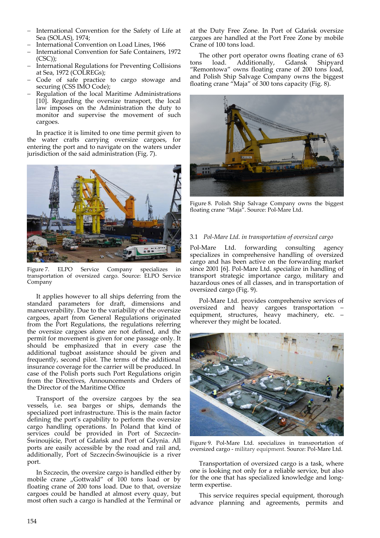- International Convention for the Safety of Life at Sea (SOLAS), 1974;
- International Convention on Load Lines, 1966
- International Convention for Safe Containers, 1972  $(CSC)$ :
- International Regulations for Preventing Collisions at Sea, 1972 (COLREGs);
- Code of safe practice to cargo stowage and securing (CSS IMO Code);
- Regulation of the local Maritime Administrations [10]. Regarding the oversize transport, the local law imposes on the Administration the duty to monitor and supervise the movement of such cargoes.

In practice it is limited to one time permit given to the water crafts carrying oversize cargoes, for entering the port and to navigate on the waters under jurisdiction of the said administration (Fig. 7).



Figure 7. ELPO Service Company specializes in transportation of oversized cargo. Source: ELPO Service Company

It applies however to all ships deferring from the standard parameters for draft, dimensions and maneuverability. Due to the variability of the oversize cargoes, apart from General Regulations originated from the Port Regulations, the regulations referring the oversize cargoes alone are not defined, and the permit for movement is given for one passage only. It should be emphasized that in every case the additional tugboat assistance should be given and frequently, second pilot. The terms of the additional insurance coverage for the carrier will be produced. In case of the Polish ports such Port Regulations origin from the Directives, Announcements and Orders of the Director of the Maritime Office

Transport of the oversize cargoes by the sea vessels, i.e. sea barges or ships, demands the specialized port infrastructure. This is the main factor defining the port's capability to perform the oversize cargo handling operations. In Poland that kind of services could be provided in Port of Szczecin‐ Świnoujście, Port of Gdańsk and Port of Gdynia. All ports are easily accessible by the road and rail and, additionally, Port of Szczecin‐Świnoujście is a river port.

In Szczecin, the oversize cargo is handled either by mobile crane "Gottwald" of 100 tons load or by floating crane of 200 tons load. Due to that, oversize cargoes could be handled at almost every quay, but most often such a cargo is handled at the Terminal or at the Duty Free Zone. In Port of Gdańsk oversize cargoes are handled at the Port Free Zone by mobile Crane of 100 tons load.

The other port operator owns floating crane of 63<br>s load. Additionally, Gdansk Shipyard tons load. Additionally, "Remontowa" owns floating crane of 200 tons load, and Polish Ship Salvage Company owns the biggest floating crane "Maja" of 300 tons capacity (Fig. 8).



Figure 8. Polish Ship Salvage Company owns the biggest floating crane "Maja". Source: Pol‐Mare Ltd.

## 3.1 *Pol‐Mare Ltd. in transportation of oversized cargo*

Pol‐Mare Ltd. forwarding consulting agency specializes in comprehensive handling of oversized cargo and has been active on the forwarding market since 2001 [6]. Pol-Mare Ltd. specialize in handling of transport strategic importance cargo, military and hazardous ones of all classes, and in transportation of oversized cargo (Fig. 9).

Pol‐Mare Ltd. provides comprehensive services of oversized and heavy cargoes transportation – equipment, structures, heavy machinery, etc. – wherever they might be located.



Figure 9. Pol‐Mare Ltd. specializes in transportation of oversized cargo ‐ military equipment. Source: Pol‐Mare Ltd.

Transportation of oversized cargo is a task, where one is looking not only for a reliable service, but also for the one that has specialized knowledge and long‐ term expertise.

This service requires special equipment, thorough advance planning and agreements, permits and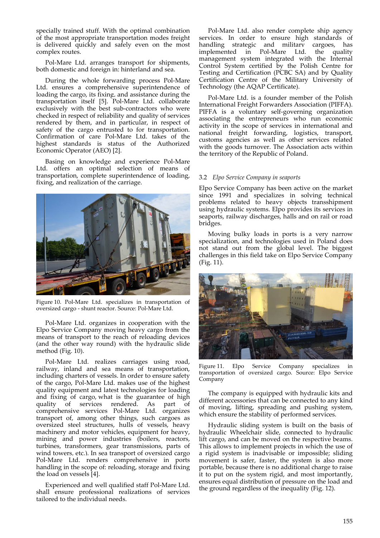specially trained stuff. With the optimal combination of the most appropriate transportation modes freight is delivered quickly and safely even on the most complex routes.

Pol‐Mare Ltd. arranges transport for shipments, both domestic and foreign in: hinterland and sea.

During the whole forwarding process Pol‐Mare Ltd. ensures a comprehensive superintendence of loading the cargo, its fixing, and assistance during the transportation itself [5]. Pol‐Mare Ltd. collaborate exclusively with the best sub-contractors who were checked in respect of reliability and quality of services rendered by them, and in particular, in respect of safety of the cargo entrusted to for transportation. Confirmation of care Pol-Mare Ltd. takes of the highest standards is status of the Authorized Economic Operator (AEO) [2].

Basing on knowledge and experience Pol‐Mare Ltd. offers an optimal selection of means of transportation, complete superintendence of loading, fixing, and realization of the carriage.



Figure 10. Pol‐Mare Ltd. specializes in transportation of oversized cargo ‐ shunt reactor. Source: Pol‐Mare Ltd.

Pol‐Mare Ltd. organizes in cooperation with the Elpo Service Company moving heavy cargo from the means of transport to the reach of reloading devices (and the other way round) with the hydraulic slide method (Fig. 10).

Pol‐Mare Ltd. realizes carriages using road, railway, inland and sea means of transportation, including charters of vessels. In order to ensure safety of the cargo, Pol‐Mare Ltd. makes use of the highest quality equipment and latest technologies for loading and fixing of cargo, what is the guarantee of high quality of services rendered. As part of comprehensive services Pol‐Mare Ltd. organizes transport of, among other things, such cargoes as oversized steel structures, hulls of vessels, heavy machinery and motor vehicles, equipment for heavy, mining and power industries (boilers, reactors, turbines, transformers, gear transmissions, parts of wind towers, etc.). In sea transport of oversized cargo Pol‐Mare Ltd. renders comprehensive in ports handling in the scope of: reloading, storage and fixing the load on vessels [4].

Experienced and well qualified staff Pol‐Mare Ltd. shall ensure professional realizations of services tailored to the individual needs.

Pol‐Mare Ltd. also render complete ship agency services. In order to ensure high standards of handling strategic and military cargoes, has implemented in Pol-Mare Ltd. the quality management system integrated with the Internal Control System certified by the Polish Centre for Testing and Certification (PCBC SA) and by Quality Certification Centre of the Military University of Technology (the AQAP Certificate).

Pol‐Mare Ltd. is a founder member of the Polish International Freight Forwarders Association (PIFFA). PIFFA is a voluntary self‐governing organization associating the entrepreneurs who run economic activity in the scope of services in international and national freight forwarding, logistics, transport, customs agencies as well as other services related with the goods turnover. The Association acts within the territory of the Republic of Poland.

## 3.2 *Elpo Service Company in seaports*

Elpo Service Company has been active on the market since 1991 and specializes in solving technical problems related to heavy objects transshipment using hydraulic systems. Elpo provides its services in seaports, railway discharges, halls and on rail or road bridges.

Moving bulky loads in ports is a very narrow specialization, and technologies used in Poland does not stand out from the global level. The biggest challenges in this field take on Elpo Service Company (Fig. 11).



Figure 11. Elpo Service Company specializes in transportation of oversized cargo. Source: Elpo Service Company

The company is equipped with hydraulic kits and different accessories that can be connected to any kind of moving, lifting, spreading and pushing system, which ensure the stability of performed services.

Hydraulic sliding system is built on the basis of hydraulic Wheelchair slide, connected to hydraulic lift cargo, and can be moved on the respective beams. This allows to implement projects in which the use of a rigid system is inadvisable or impossible; sliding movement is safer, faster, the system is also more portable, because there is no additional charge to raise it to put on the system rigid, and most importantly, ensures equal distribution of pressure on the load and the ground regardless of the inequality (Fig. 12).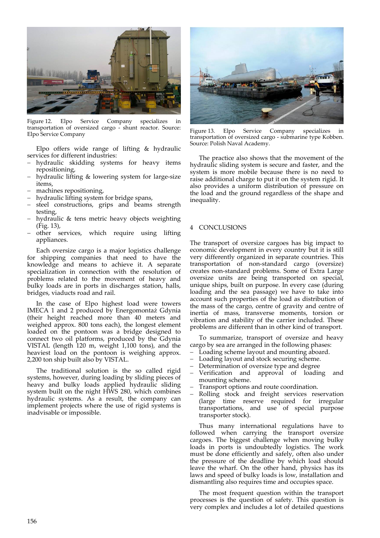

Figure 12. Elpo Service Company specializes transportation of oversized cargo ‐ shunt reactor. Source: Elpo Service Company

Elpo offers wide range of lifting & hydraulic services for different industries:

- hydraulic skidding systems for heavy items repositioning,
- hydraulic lifting & lowering system for large‐size items,
- machines repositioning,
- hydraulic lifting system for bridge spans,
- steel constructions, grips and beams strength testing,
- hydraulic & tens metric heavy objects weighting (Fig. 13),
- other services, which require using lifting appliances.

Each oversize cargo is a major logistics challenge for shipping companies that need to have the knowledge and means to achieve it. A separate specialization in connection with the resolution of problems related to the movement of heavy and bulky loads are in ports in discharges station, halls, bridges, viaducts road and rail.

In the case of Elpo highest load were towers IMECA 1 and 2 produced by Energomontaż Gdynia (their height reached more than 40 meters and weighed approx. 800 tons each), the longest element loaded on the pontoon was a bridge designed to connect two oil platforms, produced by the Gdynia VISTAL (length 120 m, weight 1,100 tons), and the heaviest load on the pontoon is weighing approx. 2,200 ton ship built also by VISTAL.

The traditional solution is the so called rigid systems, however, during loading by sliding pieces of heavy and bulky loads applied hydraulic sliding system built on the night HWS 280, which combines hydraulic systems. As a result, the company can implement projects where the use of rigid systems is inadvisable or impossible.



Figure 13. Elpo Service Company specializes in transportation of oversized cargo ‐ submarine type Kobben. Source: Polish Naval Academy.

The practice also shows that the movement of the hydraulic sliding system is secure and faster, and the system is more mobile because there is no need to raise additional charge to put it on the system rigid. It also provides a uniform distribution of pressure on the load and the ground regardless of the shape and inequality.

## 4 CONCLUSIONS

The transport of oversize cargoes has big impact to economic development in every country but it is still very differently organized in separate countries. This transportation of non‐standard cargo (oversize) creates non‐standard problems. Some of Extra Large oversize units are being transported on special, unique ships, built on purpose. In every case (during loading and the sea passage) we have to take into account such properties of the load as distribution of the mass of the cargo, centre of gravity and centre of inertia of mass, transverse moments, torsion or vibration and stability of the carrier included. These problems are different than in other kind of transport.

To summarize, transport of oversize and heavy cargo by sea are arranged in the following phases:

- Loading scheme layout and mounting aboard.
- Loading layout and stock securing scheme.
- Determination of oversize type and degree
- Verification and approval of loading and mounting scheme.
- Transport options and route coordination.
- Rolling stock and freight services reservation (large time reserve required for irregular transportations, and use of special purpose transporter stock).

Thus many international regulations have to followed when carrying the transport oversize cargoes. The biggest challenge when moving bulky loads in ports is undoubtedly logistics. The work must be done efficiently and safely, often also under the pressure of the deadline by which load should leave the wharf. On the other hand, physics has its laws and speed of bulky loads is low, installation and dismantling also requires time and occupies space.

The most frequent question within the transport processes is the question of safety. This question is very complex and includes a lot of detailed questions